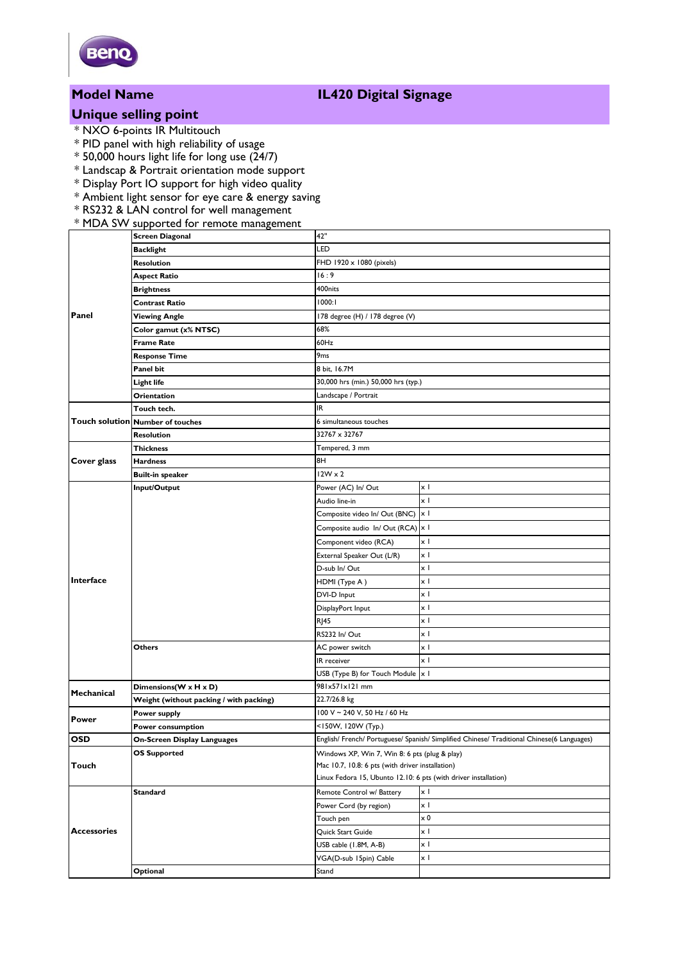

# **Unique selling point**

- \* NXO 6-points IR Multitouch
- \* PID panel with high reliability of usage
- $*$  50,000 hours light life for long use (24/7)
- \* Landscap & Portrait orientation mode support
- \* Display Port IO support for high video quality
- \* Ambient light sensor for eye care & energy saving
- \* RS232 & LAN control for well management

### \* MDA SW supported for remote management

| Panel              | <b>Screen Diagonal</b>                  | 42"                                                                                        |            |
|--------------------|-----------------------------------------|--------------------------------------------------------------------------------------------|------------|
|                    | <b>Backlight</b>                        | LED                                                                                        |            |
|                    | <b>Resolution</b>                       | FHD 1920 x 1080 (pixels)                                                                   |            |
|                    | <b>Aspect Ratio</b>                     | 16:9                                                                                       |            |
|                    | <b>Brightness</b>                       | 400nits                                                                                    |            |
|                    | <b>Contrast Ratio</b>                   | 1000:1                                                                                     |            |
|                    | <b>Viewing Angle</b>                    | 178 degree (H) / 178 degree (V)                                                            |            |
|                    | Color gamut (x% NTSC)                   | 68%                                                                                        |            |
|                    | <b>Frame Rate</b>                       | 60Hz                                                                                       |            |
|                    | <b>Response Time</b>                    | 9 <sub>ms</sub>                                                                            |            |
|                    | Panel bit                               | 8 bit. 16.7M                                                                               |            |
|                    | Light life                              | 30,000 hrs (min.) 50,000 hrs (typ.)                                                        |            |
|                    | Orientation                             | Landscape / Portrait                                                                       |            |
|                    | Touch tech.                             | IR                                                                                         |            |
|                    | Touch solution Number of touches        | 6 simultaneous touches                                                                     |            |
|                    | <b>Resolution</b>                       | 32767 x 32767                                                                              |            |
| Cover glass        | <b>Thickness</b>                        | Tempered, 3 mm                                                                             |            |
|                    | <b>Hardness</b>                         | 8H                                                                                         |            |
|                    | <b>Built-in speaker</b>                 | $12W \times 2$                                                                             |            |
| Interface          | Input/Output                            | Power (AC) In/ Out                                                                         | xΙ         |
|                    |                                         | Audio line-in                                                                              | xΙ         |
|                    |                                         | Composite video In/ Out (BNC)                                                              | x I        |
|                    |                                         | Composite audio In/Out (RCA)                                                               | x I        |
|                    |                                         | Component video (RCA)                                                                      | xΙ         |
|                    |                                         | External Speaker Out (L/R)                                                                 | x I        |
|                    |                                         | D-sub In/Out                                                                               | xΙ         |
|                    |                                         | HDMI (Type A)                                                                              | xΙ         |
|                    |                                         | DVI-D Input                                                                                | x I        |
|                    |                                         | DisplayPort Input                                                                          | x I        |
|                    |                                         | <b>RI45</b>                                                                                | x I        |
|                    |                                         | RS232 In/Out                                                                               | x I        |
|                    | Others                                  | AC power switch                                                                            | χI         |
|                    |                                         | IR receiver                                                                                | $\times$ 1 |
|                    |                                         | USB (Type B) for Touch Module  x                                                           |            |
| Mechanical         | Dimensions(W x H x D)                   | 981x571x121 mm                                                                             |            |
|                    | Weight (without packing / with packing) | 22.7/26.8 kg                                                                               |            |
| Power              | Power supply                            | 100 V ~ 240 V, 50 Hz / 60 Hz                                                               |            |
|                    | Power consumption                       | <150W, 120W (Typ.)                                                                         |            |
| <b>OSD</b>         | <b>On-Screen Display Languages</b>      | English/ French/ Portuguese/ Spanish/ Simplified Chinese/ Traditional Chinese(6 Languages) |            |
| Touch              | <b>OS Supported</b>                     | Windows XP, Win 7, Win 8: 6 pts (plug & play)                                              |            |
|                    |                                         | Mac 10.7, 10.8: 6 pts (with driver installation)                                           |            |
|                    |                                         | Linux Fedora 15, Ubunto 12.10: 6 pts (with driver installation)                            |            |
| <b>Accessories</b> | <b>Standard</b>                         | Remote Control w/ Battery                                                                  | хI         |
|                    |                                         | Power Cord (by region)                                                                     | x I        |
|                    |                                         | Touch pen                                                                                  | $\times 0$ |
|                    |                                         | Quick Start Guide                                                                          | x I        |
|                    |                                         | USB cable (1.8M, A-B)                                                                      | x I        |
|                    |                                         | VGA(D-sub 15pin) Cable                                                                     | x I        |
|                    | Optional                                | Stand                                                                                      |            |